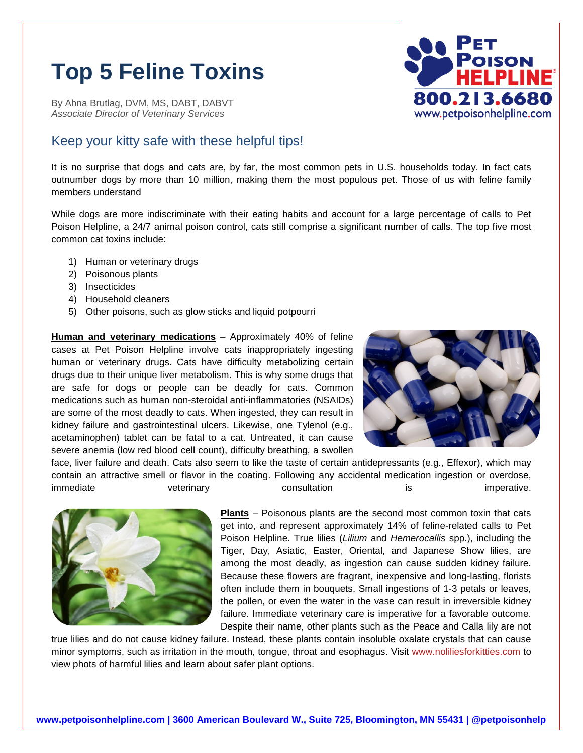## **Top 5 Feline Toxins**

By Ahna Brutlag, DVM, MS, DABT, DABVT *Associate Director of Veterinary Services*

## Keep your kitty safe with these helpful tips!

It is no surprise that dogs and cats are, by far, the most common pets in U.S. households today. In fact cats outnumber dogs by more than 10 million, making them the most populous pet. Those of us with feline family members understand

While dogs are more indiscriminate with their eating habits and account for a large percentage of calls to Pet Poison Helpline, a 24/7 animal poison control, cats still comprise a significant number of calls. The top five most common cat toxins include:

- 1) Human or veterinary drugs
- 2) Poisonous plants
- 3) Insecticides
- 4) Household cleaners
- 5) Other poisons, such as glow sticks and liquid potpourri

**Human and veterinary medications** – Approximately 40% of feline cases at Pet Poison Helpline involve cats inappropriately ingesting human or veterinary drugs. Cats have difficulty metabolizing certain drugs due to their unique liver metabolism. This is why some drugs that are safe for dogs or people can be deadly for cats. Common medications such as human non-steroidal anti-inflammatories (NSAIDs) are some of the most deadly to cats. When ingested, they can result in kidney failure and gastrointestinal ulcers. Likewise, one Tylenol (e.g., acetaminophen) tablet can be fatal to a cat. Untreated, it can cause severe anemia (low red blood cell count), difficulty breathing, a swollen



face, liver failure and death. Cats also seem to like the taste of certain antidepressants (e.g., Effexor), which may contain an attractive smell or flavor in the coating. Following any accidental medication ingestion or overdose, immediate veterinary consultation is is imperative.



**Plants** – Poisonous plants are the second most common toxin that cats get into, and represent approximately 14% of feline-related calls to Pet Poison Helpline. True lilies (*Lilium* and *Hemerocallis* spp.), including the Tiger, Day, Asiatic, Easter, Oriental, and Japanese Show lilies, are among the most deadly, as ingestion can cause sudden kidney failure. Because these flowers are fragrant, inexpensive and long-lasting, florists often include them in bouquets. Small ingestions of 1-3 petals or leaves, the pollen, or even the water in the vase can result in irreversible kidney failure. Immediate veterinary care is imperative for a favorable outcome. Despite their name, other plants such as the Peace and Calla lily are not

true lilies and do not cause kidney failure. Instead, these plants contain insoluble oxalate crystals that can cause minor symptoms, such as irritation in the mouth, tongue, throat and esophagus. Visit [www.noliliesforkitties.com](http://www.noliliesforkitties.com/) to view phots of harmful lilies and learn about safer plant options.